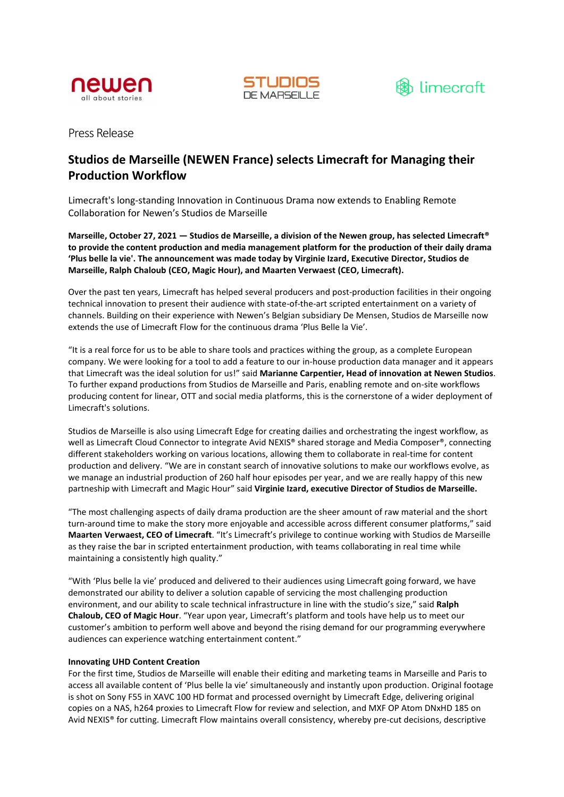





Press Release

# **Studios de Marseille (NEWEN France) selects Limecraft for Managing their Production Workflow**

Limecraft's long-standing Innovation in Continuous Drama now extends to Enabling Remote Collaboration for Newen's Studios de Marseille

**Marseille, October 27, 2021 — Studios de Marseille, a division of the Newen group, has selected Limecraft® to provide the content production and media management platform for the production of their daily drama 'Plus belle la vie'. The announcement was made today by Virginie Izard, Executive Director, Studios de Marseille, Ralph Chaloub (CEO, Magic Hour), and Maarten Verwaest (CEO, Limecraft).**

Over the past ten years, Limecraft has helped several producers and post-production facilities in their ongoing technical innovation to present their audience with state-of-the-art scripted entertainment on a variety of channels. Building on their experience with Newen's Belgian subsidiary De Mensen, Studios de Marseille now extends the use of Limecraft Flow for the continuous drama 'Plus Belle la Vie'.

"It is a real force for us to be able to share tools and practices withing the group, as a complete European company. We were looking for a tool to add a feature to our in-house production data manager and it appears that Limecraft was the ideal solution for us!" said **Marianne Carpentier, Head of innovation at Newen Studios**. To further expand productions from Studios de Marseille and Paris, enabling remote and on-site workflows producing content for linear, OTT and social media platforms, this is the cornerstone of a wider deployment of Limecraft's solutions.

Studios de Marseille is also using Limecraft Edge for creating dailies and orchestrating the ingest workflow, as well as Limecraft Cloud Connector to integrate Avid NEXIS® shared storage and Media Composer®, connecting different stakeholders working on various locations, allowing them to collaborate in real-time for content production and delivery. "We are in constant search of innovative solutions to make our workflows evolve, as we manage an industrial production of 260 half hour episodes per year, and we are really happy of this new partneship with Limecraft and Magic Hour" said **Virginie Izard, executive Director of Studios de Marseille.**

"The most challenging aspects of daily drama production are the sheer amount of raw material and the short turn-around time to make the story more enjoyable and accessible across different consumer platforms," said **Maarten Verwaest, CEO of Limecraft**. "It's Limecraft's privilege to continue working with Studios de Marseille as they raise the bar in scripted entertainment production, with teams collaborating in real time while maintaining a consistently high quality."

"With 'Plus belle la vie' produced and delivered to their audiences using Limecraft going forward, we have demonstrated our ability to deliver a solution capable of servicing the most challenging production environment, and our ability to scale technical infrastructure in line with the studio's size," said **Ralph Chaloub, CEO of Magic Hour**. "Year upon year, Limecraft's platform and tools have help us to meet our customer's ambition to perform well above and beyond the rising demand for our programming everywhere audiences can experience watching entertainment content."

## **Innovating UHD Content Creation**

For the first time, Studios de Marseille will enable their editing and marketing teams in Marseille and Paris to access all available content of 'Plus belle la vie' simultaneously and instantly upon production. Original footage is shot on Sony F55 in XAVC 100 HD format and processed overnight by Limecraft Edge, delivering original copies on a NAS, h264 proxies to Limecraft Flow for review and selection, and MXF OP Atom DNxHD 185 on Avid NEXIS® for cutting. Limecraft Flow maintains overall consistency, whereby pre-cut decisions, descriptive